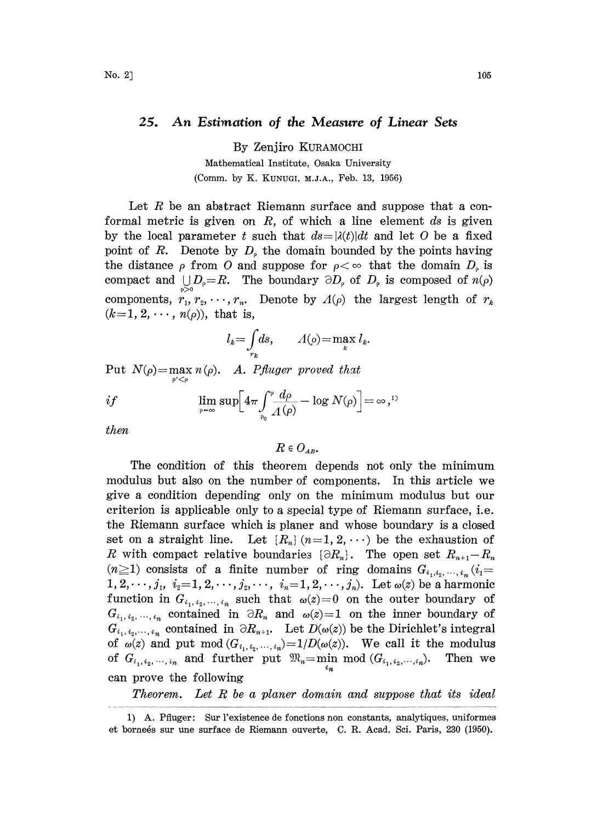## 25. An Estimation of the Measure of Linear Sets

By Zenjiro KURAMOCHI

Mathematical Institute, Osaka University (Comm. by K. KUNUGI, M.J.A., Feb. 13, 1956)

Let  $R$  be an abstract Riemann surface and suppose that a conformal metric is given on  $R$ , of which a line element  $ds$  is given by the local parameter t such that  $ds=|\lambda(t)|dt$  and let O be a fixed point of R. Denote by  $D<sub>o</sub>$  the domain bounded by the points having the distance  $\rho$  from O and suppose for  $\rho < \infty$  that the domain  $D_{\rho}$  is the distance  $\rho$  from O and suppose for  $\rho < \infty$  that the domain  $D_{\rho}$  is compact and  $\bigcup_{\rho > 0} D_{\rho} = R$ . The boundary  $\partial D_{\rho}$  of  $D_{\rho}$  is composed of  $n(\rho)$ components,  $r_1, r_2, \dots, r_n$ . Denote by  $\Lambda(\rho)$  the largest length of  $r_k$  $(k=1, 2, \cdots, n(\rho))$ , that is,

$$
l_k = \int_{r_k} ds, \qquad A(\rho) = \max_k l_k.
$$

Put  $N(\rho) = \max_{\rho} n(\rho)$ . A. Pfluger proved that

$$
if \qquad \limsup_{\rho \to \infty} \left[ 4\pi \int_{\rho_0}^{\rho} \frac{d\rho}{\Lambda(\rho)} - \log N(\rho) \right] = \infty,^{1}
$$

then

$$
R\in O_{\scriptscriptstyle AB}
$$

The condition of this theorem depends not only the minimum modulus but also on the number of components. In this article we give a condition depending only on the minimum modulus but our criterion is applicable only to a special type of Riemann surface, i.e. the Riemann surface which is planer and whose boundary is a closed set on a straight line. Let  $\{R_n\}$   $(n=1, 2, \cdots)$  be the exhaustion of R with compact relative boundaries  $\{\partial R_n\}$ . The open set  $R_{n+1}-R_n$  $(n\geq 1)$  consists of a finite number of ring domains  $G_{i_1,i_2,\dots,i_n}$  ( $i_1=$  $1, 2, \dots, j_1, i_2 = 1, 2, \dots, j_2, \dots, i_n = 1, 2, \dots, j_n$ . Let  $\omega(z)$  be a harmonic function in  $G_{i_1,i_2,\,\dots,\,i_n}$  such that  $\omega(z)=0$  on the outer boundary of  $G_{i_1, i_2, \dots, i_n}$  contained in  $\partial R_n$  and  $\omega(z)=1$  on the inner boundary of  $G_{i_1, i_2, \dots, i_n}$  contained in  $\partial R_{n+1}$ . Let  $D(\omega(z))$  be the Dirichlet's integral of  $\omega(z)$  and put mod  $(G_{i_1,i_2,\dots,i_n})=1/D(\omega(z))$ . We call it the modulus of  $G_{i_1,i_2,\dots,i_n}$  and further put  $\mathfrak{M}_n = \min \mod(G_{i_1,i_2,\dots,i_n}).$  Then we can prove the following

Theorem. Let R be <sup>a</sup> planer domain and suppose that its ideal

<sup>1)</sup> A. Pfluger: Sur l'existence de fonctions non constants, analytiques, uniformes et bornes sur une surface de Riemann ouverte, C. R. Acad. Sci. Paris, 230 (1950).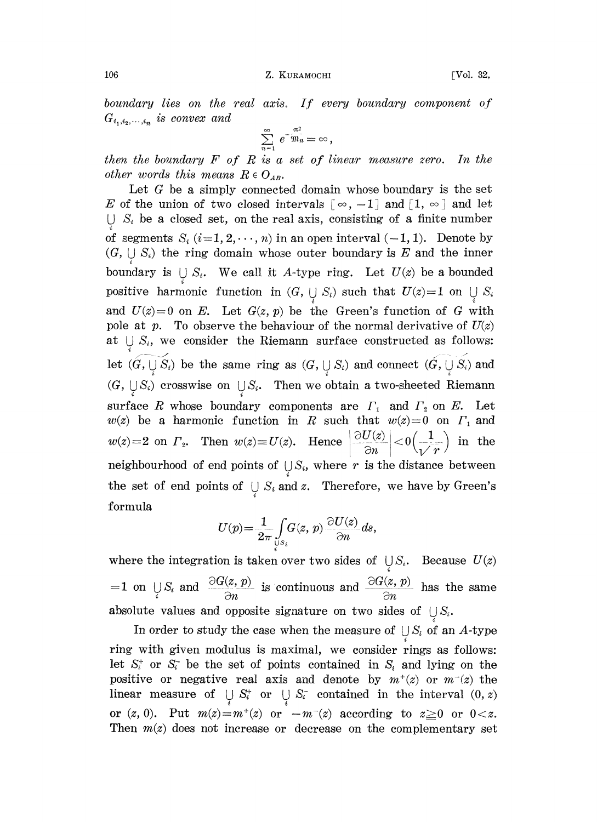106 Z. KURAMOCHI [Vol. 32,

 $boundary$  lies on the real axis. If every boundary component of  $G_{i_1,i_2,\ldots,i_n}$  is convex and

$$
\sum_{n=1}^{\infty} e^{-\frac{\pi^2}{2h_n}} = \infty,
$$

then the boundary  $F$  of  $R$  is a set of linear measure zero. In the other words this means  $R \in O_{AB}$ .

Let  $G$  be a simply connected domain whose boundary is the set E of the union of two closed intervals  $\lceil \infty, -1 \rceil$  and  $\lceil 1, \infty \rceil$  and let  $\bigcup S_i$  be a closed set, on the real axis, consisting of a finite number of segments  $S_i$   $(i=1, 2, \dots, n)$  in an open interval  $(-1, 1)$ . Denote by  $(G, \bigcup S_i)$  the ring domain whose outer boundary is E and the inner boundary is  $\bigcup S_i$ . We call it A-type ring. Let  $U(z)$  be a bounded positive harmonic function in  $(G, \bigcup S_i)$  such that  $U(z)=1$  on  $\bigcup S_i$ and  $U(z)=0$  on E. Let  $G(z, p)$  be the Green's function of G with pole at p. To observe the behaviour of the normal derivative of  $U(z)$ at  $\bigcup S_i$ , we consider the Riemann surface constructed as follows: let  $(G, \overline{y}, \overline{S_i})$  be the same ring as  $(G, \overline{y}, S_i)$  and connect  $(G, \overline{y}, \overline{S_i})$  and  $(G, \bigcup S_i)$  crosswise on  $\bigcup S_i$ . Then we obtain a two-sheeted Riemann surface R whose boundary components are  $\Gamma_1$  and  $\Gamma_2$  on E. Let  $w(z)$  be a harmonic function in R such that  $w(z)=0$  on  $\Gamma_1$  and  $w(z)=2$  on  $\Gamma_z$ . Then  $w(z)=U(z)$ . Hence  $\left|\frac{\partial U(z)}{\partial n}\right|<0\left(\frac{1}{\sqrt{r}}\right)$  in the neighbourhood of end points of  $\bigcup S_i$ , where r is the distance between the set of end points of  $\bigcup S_i$  and z. Therefore, we have by Green's formula

$$
U(p) = \frac{1}{2\pi} \int\limits_{\mathbb{U} S_i} G(z, p) \frac{\partial U(z)}{\partial n} ds,
$$

where the integration is taken over two sides of  $\bigcup S_i$ . Because  $U(z)$  $=1$  on  $\bigcup_i S_i$  and  $\frac{\partial G(z, p)}{\partial n}$  is continuous and  $\frac{\partial G(z, p)}{\partial n}$  has the same absolute values and opposite signature on two sides of  $\bigcup S_i$ .

In order to study the case when the measure of  $\bigcup S_i$  of an A-type ring with given modulus is maximal, we consider rings as follows: let  $S_i^+$  or  $S_i^-$  be the set of points contained in  $S_i$  and lying on the positive or negative real axis and denote by  $m^+(z)$  or  $m^-(z)$  the linear measure of  $\bigcup_i S_i^+$  or  $\bigcup_i S_i^-$  contained in the interval  $(0, z)$ or  $(z, 0)$ . Put  $m(z)=m^+(z)$  or  $-m^-(z)$  according to  $z\geq 0$  or  $0< z$ . Then  $m(z)$  does not increase or decrease on the complementary set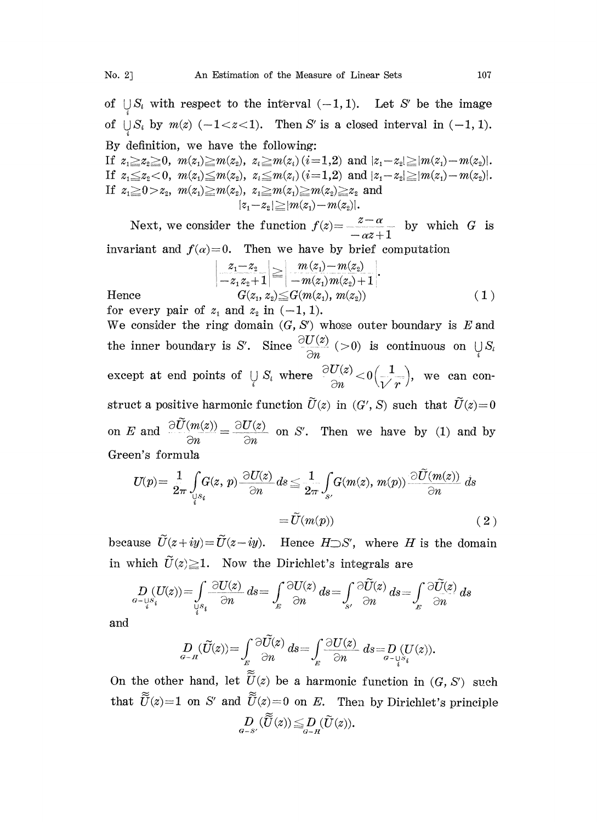of  $\bigcup_i S_i$  with respect to the interval  $(-1, 1)$ . Let S' be the image of  $\bigcup S_i$  by  $m(z)$  (-1<z<1). Then S' is a closed interval in (-1, 1). By definition, we have the following:

If  $z_1 \geq z_2 \geq 0$ ,  $m(z_1) \geq m(z_2)$ ,  $z_i \geq m(z_i)(i=1,2)$  and  $|z_1-z_2| \geq |m(z_1)-m(z_2)|$ . If  $z_1 \leq z_2 < 0$ ,  $m(z_1) \leq m(z_2)$ ,  $z_i \leq m(z_i)$  ( $i=1,2$ ) and  $|z_1-z_2| \geq |m(z_1)-m(z_2)|$ . If  $z_1 \ge 0 > z_2$ ,  $m(z_1) \ge m(z_2)$ ,  $z_1 \ge m(z_1) \ge m(z_2) \ge z_2$  and  $|z_1 - z_2| \ge |m(z_1) - m(z_2)|$ .

Next, we consider the function  $f(z) = \frac{z-\alpha}{z-\alpha}$  by which G is  $-\alpha z+1$ invariant and  $f(x)=0$ . Then we have by brief computation

$$
\left|\frac{z_1-z_2}{-z_1z_2+1}\right| \geq \left|\frac{m(z_1)-m(z_2)}{-m(z_1)m(z_2)+1}\right|.
$$
  
Hence 
$$
G(z_1, z_2) \leq G(m(z_1), m(z_2))
$$
 (1)

for every pair of  $z_1$  and  $z_2$  in  $(-1, 1)$ . We consider the ring domain  $(G, S')$  whose outer boundary is  $E$  and the inner boundary is S'. Since  $\frac{\partial U(z)}{\partial n}$  (>0) is continuous on  $\bigcup_i S_i$ except at end points of  $\bigcup_i S_i$  where  $\frac{\partial U(z)}{\partial n} < 0 \left( \frac{1}{\sqrt{n}} \right)$ , we can construct a positive harmonic function  $\tilde{U}(z)$  in  $(G', S)$  such that  $\tilde{U}(z)=0$ on E and  $\frac{\partial U(m(z))}{\partial n} = \frac{\partial U(z)}{\partial n}$  on S'. Then we have by (1) and by Green's formula

$$
U(p) = \frac{1}{2\pi} \int_{\underset{i}{\cup}S_{i}} G(z, p) \frac{\partial U(z)}{\partial n} ds \le \frac{1}{2\pi} \int_{s'} G(m(z), m(p)) \frac{\partial \widetilde{U}(m(z))}{\partial n} ds
$$

$$
= \widetilde{U}(m(p)) \tag{2}
$$

because  $\widetilde{U}(z+iy)=\widetilde{U}(z-iy)$ . Hence  $H\supset S'$ , where H is the domain in which  $\tilde{U}(z) \geq 1$ . Now the Dirichlet's integrals are

$$
\begin{split} D\left( U(z) \right) = & \int\limits_{Q \in \mathcal{S}_i} \frac{\partial U(z)}{\partial n} \, ds = \int\limits_{E} \frac{\partial U(z)}{\partial n} \, ds = \int\limits_{S'} \frac{\partial \widetilde{U}(z)}{\partial n} \, ds = \int\limits_{E} \frac{\partial \widetilde{U}(z)}{\partial n} \, ds \\ D\left( \widetilde{U}(z) \right) = & \int\limits_{Q \in \mathcal{A}} \frac{\partial \widetilde{U}(z)}{\partial n} \, ds = \int \frac{\partial U(z)}{\partial n} \, ds = & \int\limits_{Q \in \mathcal{Y}_{S_i}} \frac{\partial U(z)}{\partial n} \, ds = & \int\limits_{Q \in \mathcal{Y}_{S_i}} \frac{\partial U(z)}{\partial n} \, ds = & \int\limits_{Q \in \mathcal{Y}_{S_i}} \frac{\partial U(z)}{\partial n} \, ds = & \int\limits_{Q \in \mathcal{Y}_{S_i}} \frac{\partial U(z)}{\partial n} \, ds = & \int\limits_{Q \in \mathcal{Y}_{S_i}} \frac{\partial U(z)}{\partial n} \, ds = & \int\limits_{Q \in \mathcal{Y}_{S_i}} \frac{\partial U(z)}{\partial n} \, ds = & \int\limits_{Q \in \mathcal{Y}_{S_i}} \frac{\partial U(z)}{\partial n} \, ds = & \int\limits_{Q \in \mathcal{Y}_{S_i}} \frac{\partial U(z)}{\partial n} \, ds = & \int\limits_{Q \in \mathcal{Y}_{S_i}} \frac{\partial U(z)}{\partial n} \, ds = & \int\limits_{Q \in \mathcal{Y}_{S_i}} \frac{\partial U(z)}{\partial n} \, ds = & \int\limits_{Q \in \mathcal{Y}_{S_i}} \frac{\partial U(z)}{\partial n} \, ds = & \int\limits_{Q \in \mathcal{Y}_{S_i}} \frac{\partial U(z)}{\partial n} \, ds = & \int\limits_{Q \in \mathcal{Y}_{S_i}} \frac{\partial U(z)}{\partial n} \, ds = & \int\limits_{Q \in \mathcal{Y}_{S_i}} \frac{\partial U(z)}{\partial n} \, ds = & \int\limits_{Q \in \mathcal{Y}_{S_i}} \frac{\partial U(z)}{\partial n} \, ds = & \int\limits_{Q \in \mathcal{Y}_{S_i}} \frac{\partial U(z)}{\partial n} \, ds = & \int\limits_{Q \in \mathcal{Y}_{S_i}} \frac{\partial U(z)}{\partial n} \, ds = & \int
$$

and

$$
D_{\alpha-R}(\widetilde{U}(z)) = \int_E \frac{\partial U(z)}{\partial n} ds = \int_E \frac{\partial U(z)}{\partial n} ds = D_{\alpha-\bigcup_{i=1}^N S_i} (U(z))
$$

On the other hand, let  $\widetilde{U}(z)$  be a harmonic function in  $(G, S')$  such that  $\tilde{U}(z)=1$  on S' and  $\tilde{U}(z)=0$  on E. Then by Dirichlet's principle  $D_{g-s'}(\widetilde{\widetilde{U}}(z))\leq D_{g-u}(\widetilde{U}(z)).$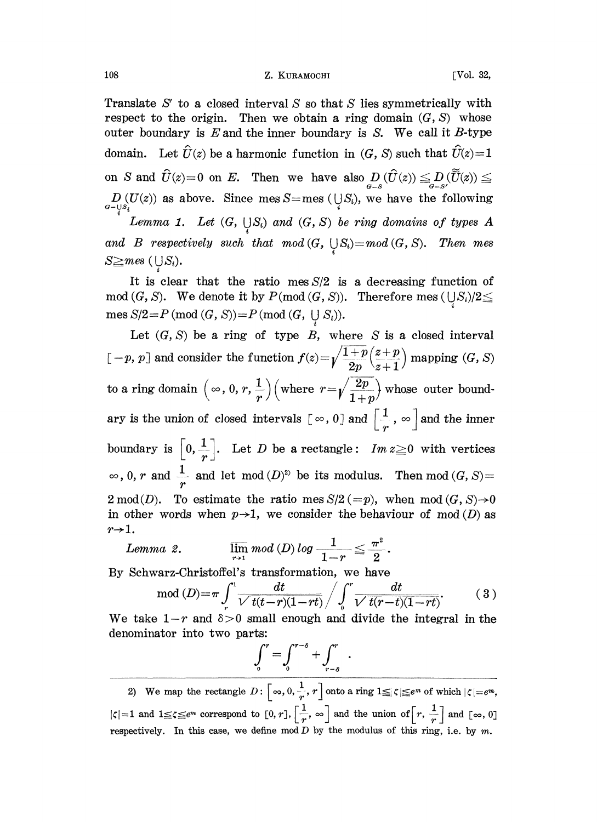## 108 **Z. KURAMOCHI** [Vol. 32,

Translate  $S'$  to a closed interval S so that S lies symmetrically with respect to the origin. Then we obtain a ring domain  $(G, S)$  whose outer boundary is  $E$  and the inner boundary is  $S$ . We call it  $B$ -type domain. Let  $\hat{U}(z)$  be a harmonic function in  $(G, S)$  such that  $\hat{U}(z)=1$ on S and  $\hat{U}(z)=0$  on E. Then we have also  $D_{G-S}(\hat{U}(z)) \leq D_{G-S'}(\tilde{U}(z)) \leq$  $D_{G-\mathcal{Y}^S} (U(z))$  as above. Since mes S=mes ( $\bigcup_i S_i$ ), we have the following Lemma 1. Let  $(G, \bigcup S_i)$  and  $(G, S)$  be ring domains of types A

and B respectively such that  $mod(G, \bigcup S_i)=mod(G, S)$ . Then mes  $S \geq mes$  (US<sub>i</sub>).

It is clear that the ratio mes  $S/2$  is a decreasing function of  $mod(G, S)$ . We denote it by  $P(mod(G, S))$ . Therefore mes  $(\bigcup S_i)/2 \leq$  $\nonumber \operatorname{mes} S/2\!=\!P\left(\operatorname{mod}\left(G,\,S\right)\right)\!=\!P\left(\operatorname{mod}\left(G,\;\cup\;S_{i}\right)\right)\!.$ 

Let  $(G, S)$  be a ring of type B, where S is a closed interval  $[-p, p]$  and consider the function  $f(z) = \sqrt{\frac{1+p}{2p}} \left(\frac{z+p}{z+1}\right)$  mapping  $(G, S)$ to a ring domain  $(\infty, 0, r, \frac{1}{r})$  (where  $r=\sqrt{\frac{2p}{1+n}}$ ) whose outer boundary is the union of closed intervals  $[\infty, 0]$  and  $\begin{bmatrix} 1 \\ r \end{bmatrix}$ ,  $\infty$  and the inner boundary is  $\left[0,\frac{1}{r}\right]$ . Let D be a rectangle:  $Im\ z\geq 0$  with vertices  $\infty$ , 0, r and  $\frac{1}{r}$  and let mod  $(D)^{2}$  be its modulus. Then mod  $(G, S) =$ <br>2 mod  $(D)$ . To estimate the ratio mes  $S/2 (= p)$ , when mod  $(G, S) \rightarrow 0$ <br>in other words when  $p \rightarrow 1$ , we consider the behaviour of mod  $(D)$  as  $2 \mod(D)$ . To estimate the ratio mes  $S/2 (=p)$ , when  $\mod(G, S) \rightarrow 0$ in other words when  $p\rightarrow 1$ , we consider the behaviour of mod (D) as  $r\rightarrow 1$ .

$$
Lemma \ \ 2. \qquad \qquad \overline{\lim\limits_{r \to 1}} \ mod \left( D \right) log \ -\frac{1}{1-r} \leqq \frac{\pi^2}{2}.
$$

By Schwarz-Christoffel's transformation, we have

$$
\mod(D) = \pi \int_{r}^{1} \frac{dt}{\sqrt{t(t-r)(1-rt)}} \bigg/ \int_{0}^{r} \frac{dt}{\sqrt{t(r-t)(1-rt)}}.
$$
 (3)

We take  $1-r$  and  $\delta > 0$  small enough and divide the integral in the denominator into two parts:

$$
\int_0^r = \int_0^{r-\delta} + \int_{r-\delta}^r.
$$

2) We map the rectangle  $D: \left[\infty, 0, \frac{1}{r}, r\right]$  onto a ring  $|\zeta|=1$  and  $1 \leq \zeta \leq e^m$  correspond to  $[0, r]$ ,  $\left[\frac{1}{r}, \infty\right]$  and the union of  $\left[r, \frac{1}{r}\right]$  and  $[\infty, 0]$ respectively. In this case, we define mod  $D$  by the modulus of this ring, i.e. by  $m$ .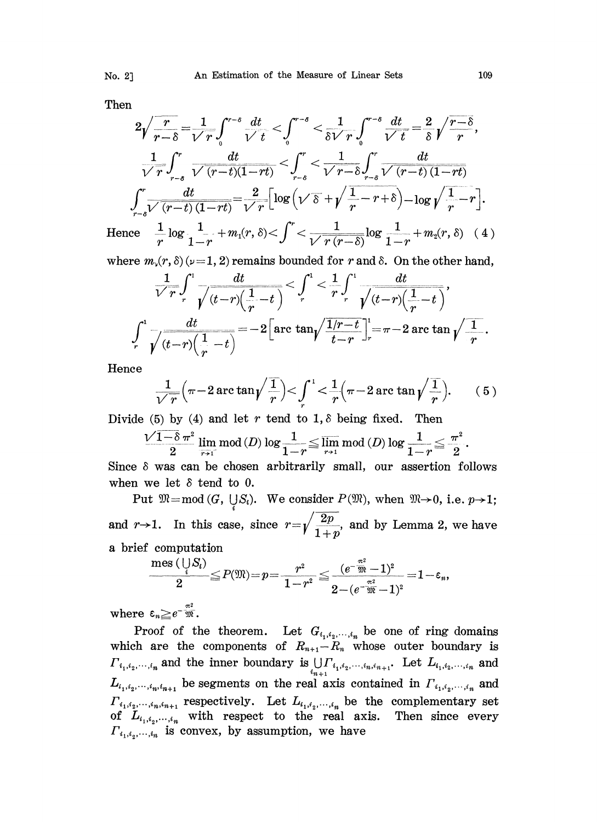Then

$$
2\sqrt{\frac{r}{r-\delta}} = \frac{1}{\sqrt{r}} \int_{0}^{r-\delta} \frac{dt}{\sqrt{t}} < \int_{0}^{r-\delta} < \frac{1}{\delta\sqrt{r}} \int_{0}^{r-\delta} \frac{dt}{\sqrt{t}} = \frac{2}{\delta} \sqrt{\frac{r-\delta}{r}},
$$
  

$$
\frac{1}{\sqrt{r}} \int_{r-\delta}^{r} \frac{dt}{\sqrt{(r-t)(1-rt)}} < \int_{r-\delta}^{r} < \frac{1}{\sqrt{r-\delta}} \int_{r-\delta}^{r} \frac{dt}{\sqrt{(r-t)(1-rt)}}
$$
  

$$
\int_{r-\delta}^{r} \frac{dt}{\sqrt{(r-t)(1-rt)}} = \frac{2}{\sqrt{r}} \left[ \log \left( \sqrt{\delta} + \sqrt{\frac{1}{r} - r + \delta} \right) - \log \sqrt{\frac{1}{r} - r} \right].
$$
  
Hence 
$$
\frac{1}{r} \log \frac{1}{1-r} + m_1(r, \delta) < \int_{0}^{r} < \frac{1}{\sqrt{r(r-\delta)}} \log \frac{1}{1-r} + m_2(r, \delta) \quad (4)
$$

where  $m_{\nu}(r, \delta)(\nu=1, 2)$  remains bounded for r and  $\delta$ . On the other hand,

$$
\frac{1}{\sqrt{r}} \int_{r}^{1} \frac{dt}{\sqrt{(t-r)(\frac{1}{r}-t)}} < \int_{r}^{1} < \frac{1}{r} \int_{r}^{1} \frac{dt}{\sqrt{(t-r)(\frac{1}{r}-t)}},
$$
\n
$$
\int_{r}^{1} \frac{dt}{\sqrt{(t-r)(\frac{1}{r}-t)}} = -2 \Big[ \arctan\sqrt{\frac{1/r-t}{t-r}} \Big]_{r}^{1} = \pi - 2 \arctan\sqrt{\frac{1}{r}}.
$$

Hence

$$
\frac{1}{\sqrt{r}}\Big(\pi-2\arctan\sqrt{\frac{1}{r}}\Big) < \int_{r}^{1} < \frac{1}{r}\Big(\pi-2\arctan\sqrt{\frac{1}{r}}\Big). \qquad (5)
$$

Divide (5) by (4) and let r tend to 1,  $\delta$  being fixed. Then

$$
\frac{\sqrt{1-\delta}\,\pi^2}{2}\,\lim_{\overline{r+1}}\mathrm{mod}\,(D)\log\frac{1}{1-r}\!\leq\!\varlimsup_{r\to 1}\mathrm{mod}\,(D)\log\frac{1}{1-r}\!\leq\frac{\pi^2}{2}.
$$

Since  $\delta$  was can be chosen arbitrarily small, our assertion follows when we let  $\delta$  tend to 0.

Put  $\mathfrak{M} = \text{mod } (G, \bigcup_{i} S_i)$ . We consider  $P(\mathfrak{M})$ , when  $\mathfrak{M} \rightarrow 0$ , i.e.  $p \rightarrow 1$ ; and r->1. In this case, since  $r=\sqrt{\frac{2p}{1+p}}$ , and by Lemma 2, we have

a brief computation

$$
\frac{\text{mes }(\mathop{\cup}\limits_{i} S_{i})}{2} \hspace{-0.3cm}\leq P(\mathfrak{M})\hspace{-0.5cm}=\hspace{-0.5cm}p\hspace{-0.5cm}=\hspace{-0.5cm}\frac{r^{2}}{1\hspace{-0.5cm}-\hspace{-0.5cm}r^{2}}\hspace{-0.3cm}\leq\hspace{-0.3cm}\frac{(e^{-\frac{\pi^{2}}{10}}\hspace{-0.5cm}-\hspace{-0.5cm}1)^{2}}{2\hspace{-0.5cm}-\hspace{-0.5cm}(e^{-\frac{\pi^{2}}{10}}\hspace{-0.5cm}-\hspace{-0.5cm}1)^{2}}\hspace{-0.3cm}=\hspace{-0.3cm}1\hspace{-0.5cm}-\hspace{-0.5cm}\epsilon_{n},
$$

where  $\varepsilon_n \geq e^{-\frac{\pi^2}{20}}$ .

Proof of the theorem. Let  $G_{i_1,i_2,\dots,i_n}$  be one of ring domains which are the components of  $R_{n+1}-R_n$  whose outer boundary is  $\prod_{i_1, i_2, \dots, i_n}$  and the inner boundary is  $\bigcup_{i_{n+1}} \Gamma_{i_1, i_2, \dots, i_n, i_{n+1}}$ . Let  $L_{i_1, i_2, \dots, i_n}$  and  $L_{i_1, i_2, \dots, i_n, i_{n+1}}$  be segments on the real axis contained in  $\prod_{i_1, i_2, \dots, i_n}$  and  $\Gamma_{i_1,i_2,\cdots,i_n,i_{n+1}}$  respectively. Let  $L_{i_1,i_2,\cdots,i_n}$  be the complementary set of  $L_{i_1,i_2,\dots,i_n}$  with respect to the real axis. Then since every  $\Gamma_{i_1,i_2,\dots,i_n}$  is convex, by assumption, we have